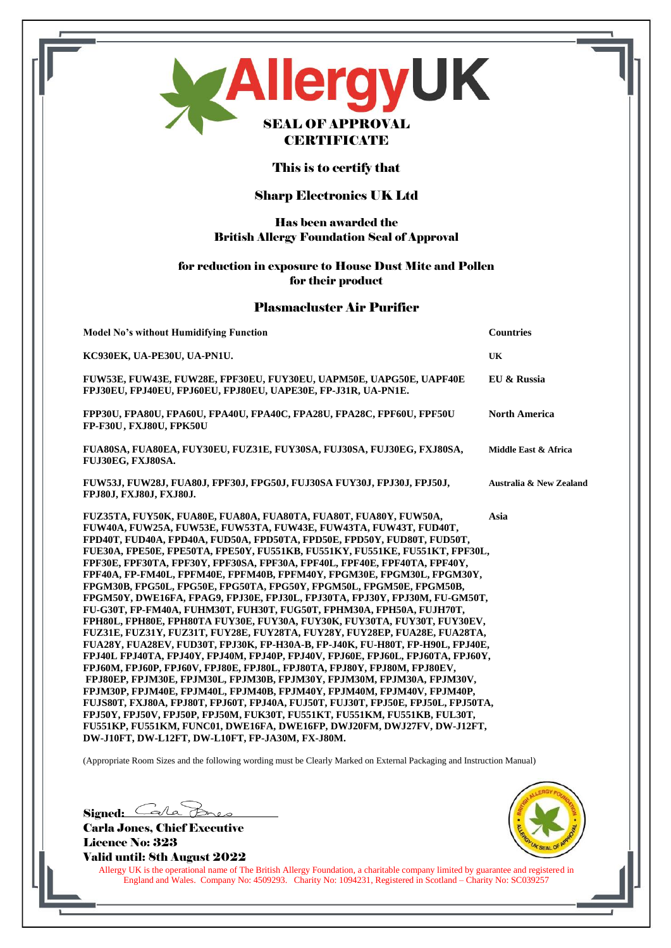| MAllergyUK<br><b>SEAL OF APPROVAL</b><br><b>CERTIFICATE</b>                                                                                                                                                                                                                                                                                                                                                                                                                                                                                                                                                                                                                                                                                                                                                                                                                                                                                                                                                                                                                                                                                                                                                                                                                                                                                                                                                                                                                                                                                                       |                         |  |
|-------------------------------------------------------------------------------------------------------------------------------------------------------------------------------------------------------------------------------------------------------------------------------------------------------------------------------------------------------------------------------------------------------------------------------------------------------------------------------------------------------------------------------------------------------------------------------------------------------------------------------------------------------------------------------------------------------------------------------------------------------------------------------------------------------------------------------------------------------------------------------------------------------------------------------------------------------------------------------------------------------------------------------------------------------------------------------------------------------------------------------------------------------------------------------------------------------------------------------------------------------------------------------------------------------------------------------------------------------------------------------------------------------------------------------------------------------------------------------------------------------------------------------------------------------------------|-------------------------|--|
| This is to certify that                                                                                                                                                                                                                                                                                                                                                                                                                                                                                                                                                                                                                                                                                                                                                                                                                                                                                                                                                                                                                                                                                                                                                                                                                                                                                                                                                                                                                                                                                                                                           |                         |  |
| <b>Sharp Electronics UK Ltd</b>                                                                                                                                                                                                                                                                                                                                                                                                                                                                                                                                                                                                                                                                                                                                                                                                                                                                                                                                                                                                                                                                                                                                                                                                                                                                                                                                                                                                                                                                                                                                   |                         |  |
| <b>Has been awarded the</b><br><b>British Allergy Foundation Seal of Approval</b>                                                                                                                                                                                                                                                                                                                                                                                                                                                                                                                                                                                                                                                                                                                                                                                                                                                                                                                                                                                                                                                                                                                                                                                                                                                                                                                                                                                                                                                                                 |                         |  |
| for reduction in exposure to House Dust Mite and Pollen<br>for their product                                                                                                                                                                                                                                                                                                                                                                                                                                                                                                                                                                                                                                                                                                                                                                                                                                                                                                                                                                                                                                                                                                                                                                                                                                                                                                                                                                                                                                                                                      |                         |  |
| <b>Plasmacluster Air Purifier</b>                                                                                                                                                                                                                                                                                                                                                                                                                                                                                                                                                                                                                                                                                                                                                                                                                                                                                                                                                                                                                                                                                                                                                                                                                                                                                                                                                                                                                                                                                                                                 |                         |  |
| <b>Model No's without Humidifying Function</b>                                                                                                                                                                                                                                                                                                                                                                                                                                                                                                                                                                                                                                                                                                                                                                                                                                                                                                                                                                                                                                                                                                                                                                                                                                                                                                                                                                                                                                                                                                                    | <b>Countries</b>        |  |
| KC930EK, UA-PE30U, UA-PN1U.                                                                                                                                                                                                                                                                                                                                                                                                                                                                                                                                                                                                                                                                                                                                                                                                                                                                                                                                                                                                                                                                                                                                                                                                                                                                                                                                                                                                                                                                                                                                       | UK                      |  |
| FUW53E, FUW43E, FUW28E, FPF30EU, FUY30EU, UAPM50E, UAPG50E, UAPF40E<br>FPJ30EU, FPJ40EU, FPJ60EU, FPJ80EU, UAPE30E, FP-J31R, UA-PN1E.                                                                                                                                                                                                                                                                                                                                                                                                                                                                                                                                                                                                                                                                                                                                                                                                                                                                                                                                                                                                                                                                                                                                                                                                                                                                                                                                                                                                                             | EU & Russia             |  |
| FPP30U, FPA80U, FPA60U, FPA40U, FPA40C, FPA28U, FPA28C, FPF60U, FPF50U<br>FP-F30U, FXJ80U, FPK50U                                                                                                                                                                                                                                                                                                                                                                                                                                                                                                                                                                                                                                                                                                                                                                                                                                                                                                                                                                                                                                                                                                                                                                                                                                                                                                                                                                                                                                                                 | <b>North America</b>    |  |
| FUA80SA, FUA80EA, FUY30EU, FUZ31E, FUY30SA, FUJ30SA, FUJ30EG, FXJ80SA,<br>FUJ30EG, FXJ80SA.                                                                                                                                                                                                                                                                                                                                                                                                                                                                                                                                                                                                                                                                                                                                                                                                                                                                                                                                                                                                                                                                                                                                                                                                                                                                                                                                                                                                                                                                       | Middle East & Africa    |  |
| FUW53J, FUW28J, FUA80J, FPF30J, FPG50J, FUJ30SA FUY30J, FPJ30J, FPJ50J,<br>FPJ80J, FXJ80J, FXJ80J.                                                                                                                                                                                                                                                                                                                                                                                                                                                                                                                                                                                                                                                                                                                                                                                                                                                                                                                                                                                                                                                                                                                                                                                                                                                                                                                                                                                                                                                                | Australia & New Zealand |  |
| FUZ35TA, FUY50K, FUA80E, FUA80A, FUA80TA, FUA80T, FUA80Y, FUW50A,<br>FUW40A, FUW25A, FUW53E, FUW53TA, FUW43E, FUW43TA, FUW43T, FUD40T,<br>FPD40T, FUD40A, FPD40A, FUD50A, FPD50TA, FPD50E, FPD50Y, FUD80T, FUD50T,<br>FUE30A, FPE50E, FPE50TA, FPE50Y, FU551KB, FU551KY, FU551KE, FU551KT, FPF30L,<br>FPF30E, FPF30TA, FPF30Y, FPF30SA, FPF30A, FPF40L, FPF40E, FPF40TA, FPF40Y,<br>FPF40A, FP-FM40L, FPFM40E, FPFM40B, FPFM40Y, FPGM30E, FPGM30L, FPGM30Y,<br>FPGM30B, FPG50L, FPG50E, FPG50TA, FPG50Y, FPGM50L, FPGM50E, FPGM50B,<br>FPGM50Y, DWE16FA, FPAG9, FPJ30E, FPJ30L, FPJ30TA, FPJ30Y, FPJ30M, FU-GM50T,<br>FU-G30T, FP-FM40A, FUHM30T, FUH30T, FUG50T, FPHM30A, FPH50A, FUJH70T,<br>FPH80L, FPH80E, FPH80TA FUY30E, FUY30A, FUY30K, FUY30TA, FUY30T, FUY30EV,<br>FUZ31E, FUZ31Y, FUZ31T, FUY28E, FUY28TA, FUY28Y, FUY28EP, FUA28E, FUA28TA,<br>FUA28Y, FUA28EV, FUD30T, FPJ30K, FP-H30A-B, FP-J40K, FU-H80T, FP-H90L, FPJ40E,<br>FPJ40L FPJ40TA, FPJ40Y, FPJ40M, FPJ40P, FPJ40V, FPJ60E, FPJ60L, FPJ60TA, FPJ60Y,<br>FPJ60M, FPJ60P, FPJ60V, FPJ80E, FPJ80L, FPJ80TA, FPJ80Y, FPJ80M, FPJ80EV,<br>FPJ80EP, FPJM30E, FPJM30L, FPJM30B, FPJM30Y, FPJM30M, FPJM30A, FPJM30V,<br>FPJM30P, FPJM40E, FPJM40L, FPJM40B, FPJM40Y, FPJM40M, FPJM40V, FPJM40P,<br>FUJS80T, FXJ80A, FPJ80T, FPJ60T, FPJ40A, FUJ50T, FUJ30T, FPJ50E, FPJ50L, FPJ50TA,<br>FPJ50Y, FPJ50V, FPJ50P, FPJ50M, FUK30T, FU551KT, FU551KM, FU551KB, FUL30T,<br>FU551KP, FU551KM, FUNC01, DWE16FA, DWE16FP, DWJ20FM, DWJ27FV, DW-J12FT,<br>DW-J10FT, DW-L12FT, DW-L10FT, FP-JA30M, FX-J80M. | Asia                    |  |

(Appropriate Room Sizes and the following wording must be Clearly Marked on External Packaging and Instruction Manual)

Signed: Cala

Carla Jones, Chief Executive Licence No: 323 Valid until: 8th August 2022



Allergy UK is the operational name of The British Allergy Foundation, a charitable company limited by guarantee and registered in England and Wales. Company No: 4509293. Charity No: 1094231, Registered in Scotland – Charity No: SC039257